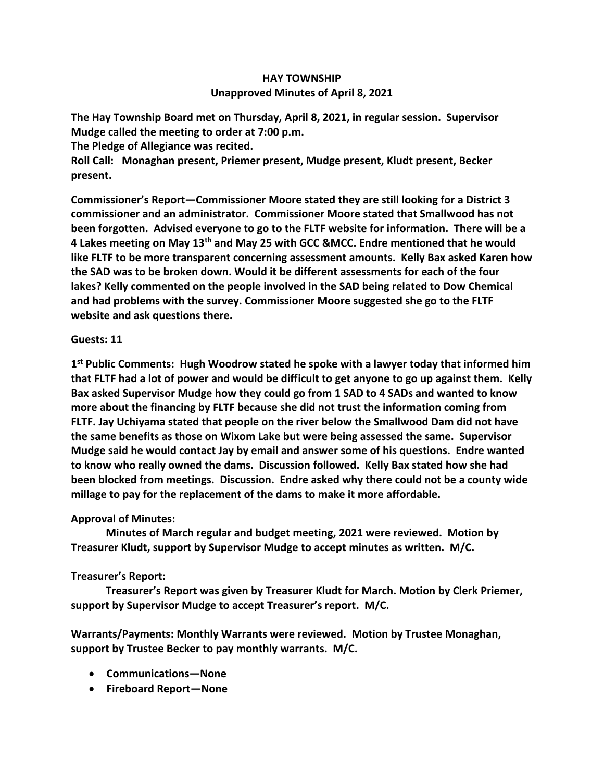## **HAY TOWNSHIP Unapproved Minutes of April 8, 2021**

**The Hay Township Board met on Thursday, April 8, 2021, in regular session. Supervisor Mudge called the meeting to order at 7:00 p.m.** 

**The Pledge of Allegiance was recited.** 

**Roll Call: Monaghan present, Priemer present, Mudge present, Kludt present, Becker present.**

**Commissioner's Report—Commissioner Moore stated they are still looking for a District 3 commissioner and an administrator. Commissioner Moore stated that Smallwood has not been forgotten. Advised everyone to go to the FLTF website for information. There will be a 4 Lakes meeting on May 13th and May 25 with GCC &MCC. Endre mentioned that he would like FLTF to be more transparent concerning assessment amounts. Kelly Bax asked Karen how the SAD was to be broken down. Would it be different assessments for each of the four lakes? Kelly commented on the people involved in the SAD being related to Dow Chemical and had problems with the survey. Commissioner Moore suggested she go to the FLTF website and ask questions there.**

## **Guests: 11**

**1 st Public Comments: Hugh Woodrow stated he spoke with a lawyer today that informed him that FLTF had a lot of power and would be difficult to get anyone to go up against them. Kelly Bax asked Supervisor Mudge how they could go from 1 SAD to 4 SADs and wanted to know more about the financing by FLTF because she did not trust the information coming from FLTF. Jay Uchiyama stated that people on the river below the Smallwood Dam did not have the same benefits as those on Wixom Lake but were being assessed the same. Supervisor Mudge said he would contact Jay by email and answer some of his questions. Endre wanted to know who really owned the dams. Discussion followed. Kelly Bax stated how she had been blocked from meetings. Discussion. Endre asked why there could not be a county wide millage to pay for the replacement of the dams to make it more affordable.** 

## **Approval of Minutes:**

 **Minutes of March regular and budget meeting, 2021 were reviewed. Motion by Treasurer Kludt, support by Supervisor Mudge to accept minutes as written. M/C.**

## **Treasurer's Report:**

 **Treasurer's Report was given by Treasurer Kludt for March. Motion by Clerk Priemer, support by Supervisor Mudge to accept Treasurer's report. M/C.**

**Warrants/Payments: Monthly Warrants were reviewed. Motion by Trustee Monaghan, support by Trustee Becker to pay monthly warrants. M/C.**

- **Communications—None**
- **Fireboard Report—None**